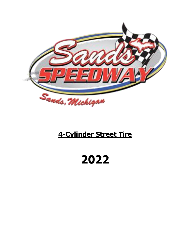

# **4-Cylinder Street Tire**

# **2022**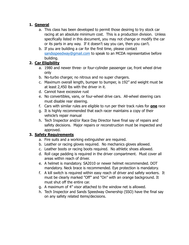# **1. General**

- a. This class has been developed to permit those desiring to try stock car racing at an absolute minimum cost. This is a production division. Unless specifically listed in this document, you may not change or modify the car or its parts in any way. If it doesn't say you can, then you can't.
- b. If you are building a car for the first time, please contact [sandsspeedway@gmail.com](mailto:sandsspeedway@gmail.com) to speak to an MCDA representative before building.

# **2. Car Eligibility**

- a. 1980 and newer three- or four-cylinder passenger car, front wheel drive only
- b. No-turbo charger, no nitrous and no super chargers.
- c. Maximum overall length, bumper to bumper, is 192" and weight must be at least 2,450 lbs with the driver in it.
- d. Cannot have excessive rust
- e. No convertibles, vans, or four-wheel drive cars. All-wheel steering cars must disable rear steering.
- f. Cars with similar rules are eligible to run per their track rules for **one** race
- g. It is highly recommended that each racer maintains a copy of their vehicle's repair manual
- h. Tech Inspector and/or Race Day Director have final say of repairs and safety decisions. Major repairs or reconstruction must be inspected and approved.

# **3. Safety Requirements**

- a. Fire suits and a working extinguisher are required.
- b. Leather or racing gloves required. No mechanics gloves allowed.
- c. Leather boots or racing boots required. No athletic shoes allowed.
- d. Roll cage padding is required in the driver compartment. Must cover all areas within reach of driver.
- e. A helmet is mandatory. SA2010 or newer helmet recommended. DOT mandatory. Neck brace is recommended. Eye protection is mandatory.
- f. A kill switch is required within easy reach of driver and safety workers. It must be clearly marked "Off" and "On" with an orange background. It must shut off the entire car.
- g. A maximum of 4" visor attached to the window net is allowed.
- h. Tech Inspector and Sands Speedway Ownership (SSO) have the final say on any safety related items/decisions.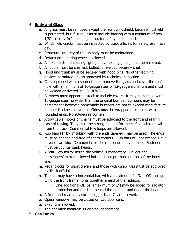# **4. Body and Glass**

- a. All glass must be removed except the front windshield. Lexan windshield is permitted, but if used, it must include bracing with a minimum of two 1/8" thick by ¾" steel angle iron, for safety and support.
- b. Windshield cracks must be inspected by track officials for safety each race day.
- c. Structural integrity of the unibody must be maintained!
- d. Detachable steering wheel is allowed.
- e. All exterior trim including lights, body moldings, etc., must be removed.
- f. All doors must be chained, bolted, or welded securely shut.
- g. Hood and trunk must be secured with hood pins. No other latching devices permitted unless approved by technical inspection.
- h. Cars equipped with a sunroof must remove the glass and cover the roof hole with a minimum of 16-gauge steel or 12-gauge aluminum and must be welded or riveted. NO SCREWS.
- i. Bumpers must appear as stock to include covers. It may be capped with 16-gauge steel no wider than the original bumper. Bumpers may be homemade; however, homemade bumpers are not to exceed manufacture bumper thickness or width. Sides must be wrapped or capped, with rounded ends. No 90-degree corners.
- j. A tow cable, hooks or chains must be attached to the front and rear in case of towing. They must be strong enough for the car's quick removal from the track. Commercial tow loops are allowed.
- k. Rub bars (1" by 1" tubing with the ends tapered) may be used. The ends must be capped and free of sharp corners. Rub bars will not exceed  $1 \frac{1}{2}$ beyond car skin. Commercial plastic rub panels may be used. Fasteners must be counter sunk heads.
- l. A rear-view mirror inside the vehicle is mandatory. Drivers and passengers' mirrors allowed but must not protrude outside of the body line.
- m. Pedal blocks for short drivers and those with disabilities must be approved by Track officials.
- n. The car may have a horizontal bar, with a maximum of 1 3/4" OD tubing, tying the front frame horns together ahead of the radiator.
	- i. One additional OD bar (maximum of 1") may be added for radiator protection and must be behind the bumper and under the hood.
- o. A front and rear sun visor no bigger than 7" are allowed.
- p. Opera windows may be closed on two door cars.
- q. Skirting is allowed.
- r. The car must maintain its original appearance.

#### **5. Gas Tanks**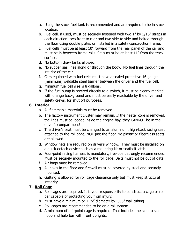- a. Using the stock fuel tank is recommended and are required to be in stock location.
- b. Fuel cell, if used, must be securely fastened with two 1" by 1/16" straps in each direction: two front to rear and two side to side and bolted through the floor using double plates or installed in a safety construction frame.
- c. Fuel cells must be at least 10" forward from the rear panel of the car and must be in between frame rails. Cells must be at least 11" from the track surface.
- d. No bottom draw tanks allowed.
- e. No rubber gas lines along or through the body. No fuel lines through the interior of the car.
- f. Cars equipped with fuel cells must have a sealed protective 16 gauge (minimum) weldable steel barrier between the driver and the fuel cell.
- g. Minimum fuel cell size is 8 gallons.
- h. If the fuel pump is rewired directly to a switch, it must be clearly marked with orange background and must be easily reachable by the driver and safety crews, for shut off purposes.

# **6. Interior**

- a. All flammable materials must be removed.
- b. The factory instrument cluster may remain. If the heater core is removed, the lines must be looped inside the engine bay, they CANNOT be in the driver's compartment!
- c. The driver's seat must be changed to an aluminum, high-back racing seat attached to the roll cage, NOT just the floor. No plastic or fiberglass seats are allowed.
- d. Window nets are required on driver's window. They must be installed on a quick detach device such as a mounting kit or seatbelt latch.
- e. Four-point racing harness is mandatory, five-point strongly recommended. Must be securely mounted to the roll cage. Belts must not be out of date.
- f. Air bags must be removed.
- g. All holes in the floor and firewall must be covered by steel and securely mounted.
- h. Gutting is allowed for roll cage clearance only but must keep structural integrity.

# **7. Roll Cage**

- a. Roll cages are required. It is your responsibility to construct a cage or roll bar capable of protecting you from injury.
- b. Must have a minimum or  $1\frac{1}{2}$  diameter by .095" wall tubing.
- c. Roll cages are recommended to be on a rail system.
- d. A minimum of a 4-point cage is required. That includes the side to side hoop and halo bar with front uprights.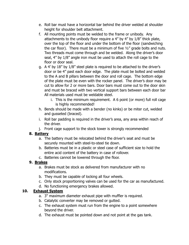- e. Roll bar must have a horizontal bar behind the driver welded at shoulder height for shoulder belt attachment.
- f. All mounting points must be welded to the frame or unibody. Any attachments to the unibody floor require a 4" by 4" by 1/8" thick plate, over the top of the floor and under the bottom of the floor (sandwiching the car floor). There must be a minimum of five ½" grade bolts and nuts. Two threads must come through and be welded. Along the driver's door seal, 4" by 1/8" angle iron must be used to attach the roll cage to the floor or door seal.
- g. A 4' by 18" by 1/8" steel plate is required to be attached to the driver's door or be 4" past each door edge. The plate must be bolted and welded to the A and B pillars between the door and roll cage. The bottom edge of the plate must be even with the rocker panel. The driver's door may be cut to allow for 2 or more bars. Door bars must come out to the door skin and must be braced with two vertical support bars between each door bar All materials used must be weldable steel.
	- i. This is the minimum requirement. A 6 point (or more) full roll cage is highly recommended!
- h. Bends should be made with a bender (no kinks) or be miter cut, welded and gusseted (braced).
- i. Roll bar padding is required in the driver's area, any area within reach of the driver.
- j. Front cage support to the stock tower is strongly recommended

# **8. Battery**

- a. The battery must be relocated behind the driver's seat and must be securely mounted with steel-to-steel tie down.
- b. Batteries must be in a plastic or steel case of sufficient size to hold the entire acid content of the battery in case of rollover.
- c. Batteries cannot be lowered through the floor.

# **9. Brakes**

- a. Brakes must be stock as delivered from manufacturer with no modifications.
- b. They must be capable of locking all four wheels.
- c. Only stock proportioning valves can be used for the car as manufactured.
- d. No functioning emergency brakes allowed.

# **10. Exhaust System**

- a. 3" maximum diameter exhaust pipe with muffler is required.
- b. Catalytic converter may be removed or gutted.
- c. The exhaust system must run from the engine to a point somewhere beyond the driver.
- d. The exhaust must be pointed down and not point at the gas tank.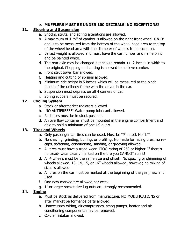#### e. **MUFFLERS MUST BE UNDER 100 DECIBALS! NO EXCEPTIONS!**

# **11. Steering and Suspension**

- a. Shocks, struts, and spring alterations are allowed.
- b. A maximum of 1 ½" of camber is allowed on the right front wheel **ONLY** and is to be measured from the bottom of the wheel bead area to the top of the wheel bead area with the diameter of wheels to be raced on.
- c. Ballast weight is allowed and must have the car number and name on it and be painted white.
- d. The rear axle may be changed but should remain  $+/- 2$  inches in width to the original. Chopping and cutting is allowed to achieve camber.
- e. Front strut tower bar allowed.
- f. Heating and cutting of springs allowed.
- g. Minimum ride height is 5 inches which will be measured at the pinch points of the unibody frame with the driver in the car.
- h. Suspension must depress on all 4 corners of car.
- i. Spring rubbers must be secured.

# **12. Cooling System**

- a. Stock or aftermarket radiators allowed.
- b. NO ANTIFREEZE! Water pump lubricant allowed.
- c. Radiators must be in stock position.
- d. An overflow container must be mounted in the engine compartment and able to hold a minimum of one US quart.

# **13. Tires and Wheels**

- a. Only passenger car tires can be used. Must be "P" rated. No "LT".
- b. No shaving, grinding, buffing, or profiling. No made for racing tires, no recaps, softening, conditioning, sanding, or grooving allowed.
- c. All tires must have a tread wear UTQG rating of 260 or higher. If there's no tread- wear clearly marked on the tire you CANNOT run it!
- d. All 4 wheels must be the same size and offset. No spacing or shimming of wheels allowed. 13, 14, 15, or 16" wheels allowed; however, no mixing of sizes is allowed.
- e. All tires on the car must be marked at the beginning of the year, new and used.
- f. One new marked tire allowed per week.
- g. 1" or larger socket size lug nuts are strongly recommended.

# **14. Engine**

- a. Must be stock as delivered from manufacturer. NO MODIFICATIONS or after market performance parts allowed.
- b. Unnecessary wiring, air compressors, smog pumps, heater and air conditioning components may be removed.
- c. Cold air intakes allowed.